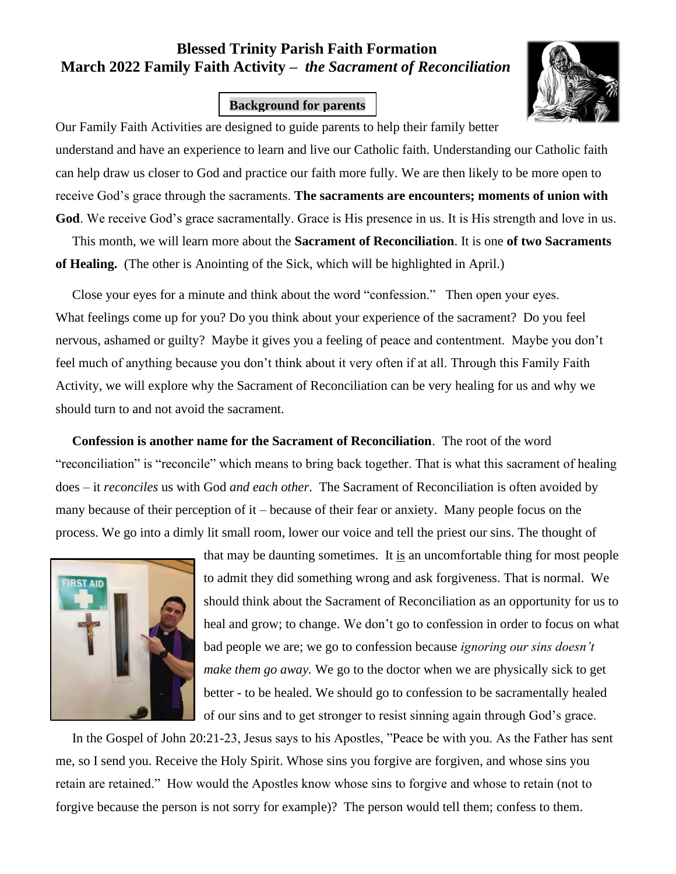## **Blessed Trinity Parish Faith Formation March 2022 Family Faith Activity –** *the Sacrament of Reconciliation*

## **Background for parents**



Our Family Faith Activities are designed to guide parents to help their family better understand and have an experience to learn and live our Catholic faith. Understanding our Catholic faith can help draw us closer to God and practice our faith more fully. We are then likely to be more open to receive God's grace through the sacraments. **The sacraments are encounters; moments of union with God**. We receive God's grace sacramentally. Grace is His presence in us. It is His strength and love in us.

 This month, we will learn more about the **Sacrament of Reconciliation**. It is one **of two Sacraments of Healing.** (The other is Anointing of the Sick, which will be highlighted in April.)

 Close your eyes for a minute and think about the word "confession." Then open your eyes. What feelings come up for you? Do you think about your experience of the sacrament? Do you feel nervous, ashamed or guilty? Maybe it gives you a feeling of peace and contentment. Maybe you don't feel much of anything because you don't think about it very often if at all. Through this Family Faith Activity, we will explore why the Sacrament of Reconciliation can be very healing for us and why we should turn to and not avoid the sacrament.

 **Confession is another name for the Sacrament of Reconciliation**. The root of the word "reconciliation" is "reconcile" which means to bring back together. That is what this sacrament of healing does – it *reconciles* us with God *and each other*. The Sacrament of Reconciliation is often avoided by many because of their perception of it – because of their fear or anxiety. Many people focus on the process. We go into a dimly lit small room, lower our voice and tell the priest our sins. The thought of



that may be daunting sometimes. It is an uncomfortable thing for most people to admit they did something wrong and ask forgiveness. That is normal. We should think about the Sacrament of Reconciliation as an opportunity for us to heal and grow; to change. We don't go to confession in order to focus on what bad people we are; we go to confession because *ignoring our sins doesn't make them go away.* We go to the doctor when we are physically sick to get better - to be healed. We should go to confession to be sacramentally healed of our sins and to get stronger to resist sinning again through God's grace.

 In the Gospel of John 20:21-23, Jesus says to his Apostles, "Peace be with you. As the Father has sent me, so I send you. Receive the Holy Spirit. Whose sins you forgive are forgiven, and whose sins you retain are retained." How would the Apostles know whose sins to forgive and whose to retain (not to forgive because the person is not sorry for example)? The person would tell them; confess to them.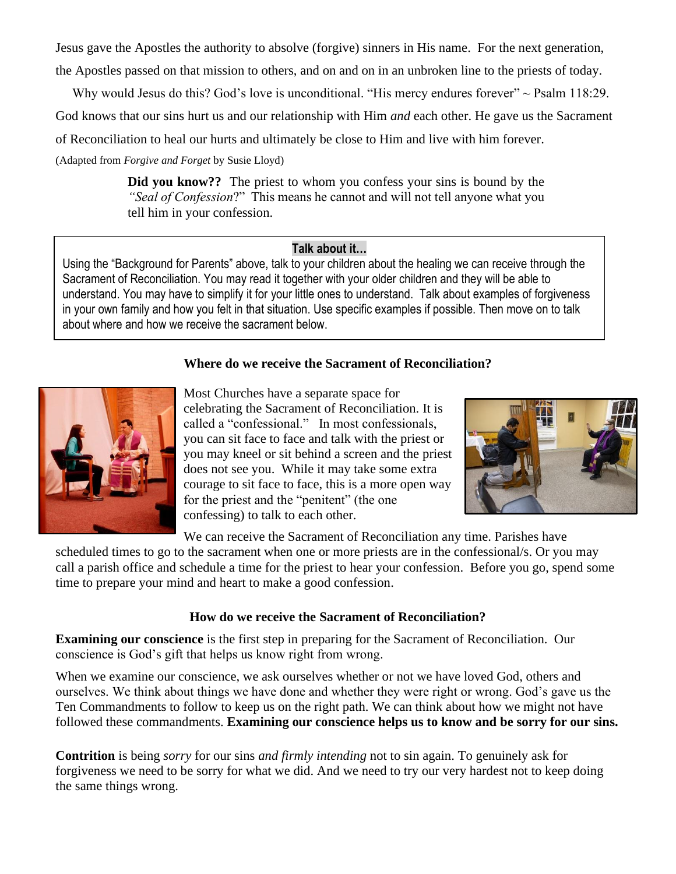Jesus gave the Apostles the authority to absolve (forgive) sinners in His name. For the next generation, the Apostles passed on that mission to others, and on and on in an unbroken line to the priests of today.

Why would Jesus do this? God's love is unconditional. "His mercy endures forever" ~ Psalm 118:29.

God knows that our sins hurt us and our relationship with Him *and* each other. He gave us the Sacrament

of Reconciliation to heal our hurts and ultimately be close to Him and live with him forever.

(Adapted from *Forgive and Forget* by Susie Lloyd)

**Did you know??** The priest to whom you confess your sins is bound by the *"Seal of Confession*?" This means he cannot and will not tell anyone what you tell him in your confession.

## **Talk about it…**

Using the "Background for Parents" above, talk to your children about the healing we can receive through the Sacrament of Reconciliation. You may read it together with your older children and they will be able to understand. You may have to simplify it for your little ones to understand. Talk about examples of forgiveness in your own family and how you felt in that situation. Use specific examples if possible. Then move on to talk about where and how we receive the sacrament below.

## **Where do we receive the Sacrament of Reconciliation?**



Most Churches have a separate space for celebrating the Sacrament of Reconciliation. It is called a "confessional." In most confessionals, you can sit face to face and talk with the priest or you may kneel or sit behind a screen and the priest does not see you. While it may take some extra courage to sit face to face, this is a more open way for the priest and the "penitent" (the one confessing) to talk to each other.



We can receive the Sacrament of Reconciliation any time. Parishes have

scheduled times to go to the sacrament when one or more priests are in the confessional/s. Or you may call a parish office and schedule a time for the priest to hear your confession. Before you go, spend some time to prepare your mind and heart to make a good confession.

#### **How do we receive the Sacrament of Reconciliation?**

**Examining our conscience** is the first step in preparing for the Sacrament of Reconciliation. Our conscience is God's gift that helps us know right from wrong.

When we examine our conscience, we ask ourselves whether or not we have loved God, others and ourselves. We think about things we have done and whether they were right or wrong. God's gave us the Ten Commandments to follow to keep us on the right path. We can think about how we might not have followed these commandments. **Examining our conscience helps us to know and be sorry for our sins.** 

**Contrition** is being *sorry* for our sins *and firmly intending* not to sin again. To genuinely ask for forgiveness we need to be sorry for what we did. And we need to try our very hardest not to keep doing the same things wrong.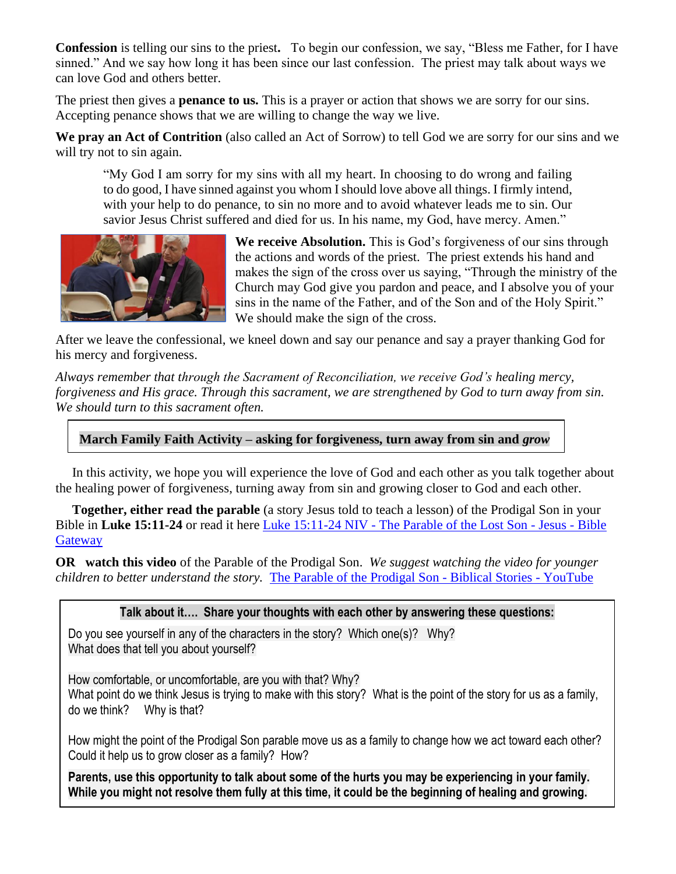**Confession** is telling our sins to the priest**.** To begin our confession, we say, "Bless me Father, for I have sinned." And we say how long it has been since our last confession. The priest may talk about ways we can love God and others better.

The priest then gives a **penance to us.** This is a prayer or action that shows we are sorry for our sins. Accepting penance shows that we are willing to change the way we live.

**We pray an Act of Contrition** (also called an Act of Sorrow) to tell God we are sorry for our sins and we will try not to sin again.

"My God I am sorry for my sins with all my heart. In choosing to do wrong and failing to do good, I have sinned against you whom I should love above all things. I firmly intend, with your help to do penance, to sin no more and to avoid whatever leads me to sin. Our savior Jesus Christ suffered and died for us. In his name, my God, have mercy. Amen."



**We receive Absolution.** This is God's forgiveness of our sins through the actions and words of the priest.The priest extends his hand and makes the sign of the cross over us saying, "Through the ministry of the Church may God give you pardon and peace, and I absolve you of your sins in the name of the Father, and of the Son and of the Holy Spirit." We should make the sign of the cross.

After we leave the confessional, we kneel down and say our penance and say a prayer thanking God for his mercy and forgiveness.

*Always remember that through the Sacrament of Reconciliation, we receive God's healing mercy, forgiveness and His grace. Through this sacrament, we are strengthened by God to turn away from sin. We should turn to this sacrament often.*

## **March Family Faith Activity – asking for forgiveness, turn away from sin and** *grow*

 In this activity, we hope you will experience the love of God and each other as you talk together about the healing power of forgiveness, turning away from sin and growing closer to God and each other.

 **Together, either read the parable** (a story Jesus told to teach a lesson) of the Prodigal Son in your Bible in **Luke 15:11-24** or read it here Luke 15:11-24 NIV - [The Parable of the Lost Son -](https://www.biblegateway.com/passage/?search=Luke%2015%3A11-24&version=NIV) Jesus - Bible **[Gateway](https://www.biblegateway.com/passage/?search=Luke%2015%3A11-24&version=NIV)** 

**OR watch this video** of the Parable of the Prodigal Son. *We suggest watching the video for younger children to better understand the story.* [The Parable of the Prodigal Son -](https://www.youtube.com/watch?v=BTiiJVt_Qek) Biblical Stories - YouTube

#### **Talk about it…. Share your thoughts with each other by answering these questions:**

Do you see yourself in any of the characters in the story? Which one(s)? Why? What does that tell you about yourself?

How comfortable, or uncomfortable, are you with that? Why? What point do we think Jesus is trying to make with this story? What is the point of the story for us as a family, do we think? Why is that?

How might the point of the Prodigal Son parable move us as a family to change how we act toward each other? Could it help us to grow closer as a family? How?

**Parents, use this opportunity to talk about some of the hurts you may be experiencing in your family. While you might not resolve them fully at this time, it could be the beginning of healing and growing.**